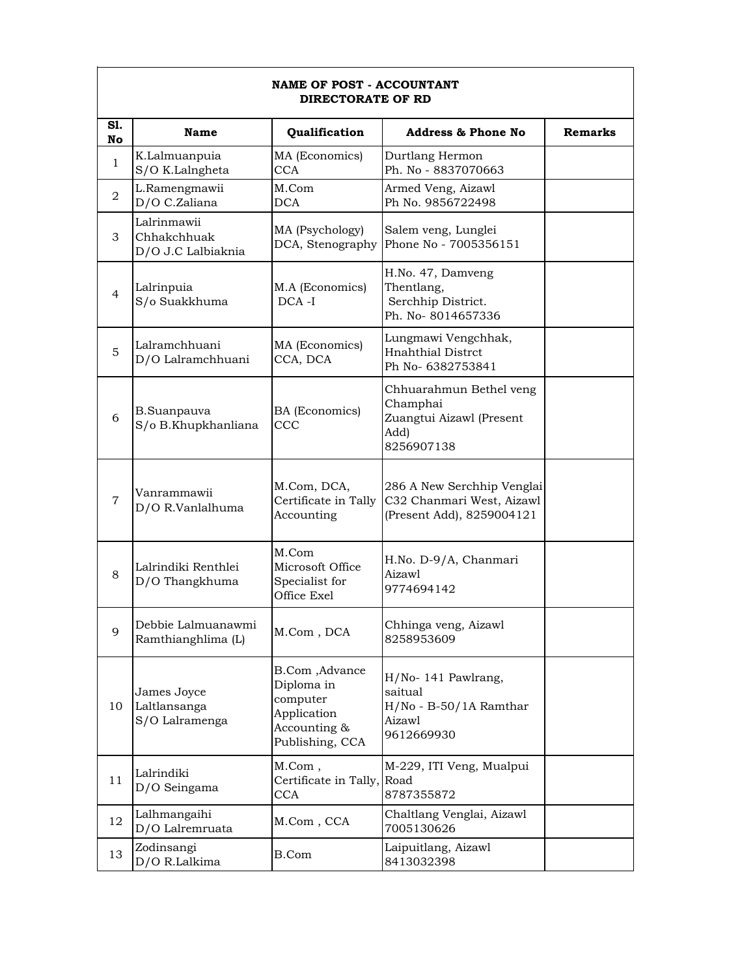| <b>NAME OF POST - ACCOUNTANT</b><br><b>DIRECTORATE OF RD</b> |                                                  |                                                                                            |                                                                                       |                |  |
|--------------------------------------------------------------|--------------------------------------------------|--------------------------------------------------------------------------------------------|---------------------------------------------------------------------------------------|----------------|--|
| S1.<br>No                                                    | <b>Name</b>                                      | Qualification                                                                              | <b>Address &amp; Phone No</b>                                                         | <b>Remarks</b> |  |
| $\mathbf{1}$                                                 | K.Lalmuanpuia<br>S/O K.Lalngheta                 | MA (Economics)<br><b>CCA</b>                                                               | Durtlang Hermon<br>Ph. No - 8837070663                                                |                |  |
| 2                                                            | L.Ramengmawii<br>D/O C.Zaliana                   | M.Com<br><b>DCA</b>                                                                        | Armed Veng, Aizawl<br>Ph No. 9856722498                                               |                |  |
| 3                                                            | Lalrinmawii<br>Chhakchhuak<br>D/O J.C Lalbiaknia | MA (Psychology)<br>DCA, Stenography                                                        | Salem veng, Lunglei<br>Phone No - 7005356151                                          |                |  |
| $\overline{4}$                                               | Lalrinpuia<br>S/o Suakkhuma                      | M.A (Economics)<br>DCA-I                                                                   | H.No. 47, Damveng<br>Thentlang,<br>Serchhip District.<br>Ph. No-8014657336            |                |  |
| 5                                                            | Lalramchhuani<br>D/O Lalramchhuani               | MA (Economics)<br>CCA, DCA                                                                 | Lungmawi Vengchhak,<br><b>Hnahthial Distrct</b><br>Ph No- 6382753841                  |                |  |
| 6                                                            | B.Suanpauva<br>S/o B.Khupkhanliana               | BA (Economics)<br>ccc                                                                      | Chhuarahmun Bethel veng<br>Champhai<br>Zuangtui Aizawl (Present<br>Add)<br>8256907138 |                |  |
| 7                                                            | Vanrammawii<br>D/O R.Vanlalhuma                  | M.Com, DCA,<br>Certificate in Tally<br>Accounting                                          | 286 A New Serchhip Venglai<br>C32 Chanmari West, Aizawl<br>(Present Add), 8259004121  |                |  |
| 8                                                            | Lalrindiki Renthlei<br>D/O Thangkhuma            | M.Com<br>Microsoft Office<br>Specialist for<br>Office Exel                                 | H.No. D-9/A, Chanmari<br>Aizawl<br>9774694142                                         |                |  |
| 9                                                            | Debbie Lalmuanawmi<br>Ramthianghlima (L)         | M.Com, DCA                                                                                 | Chhinga veng, Aizawl<br>8258953609                                                    |                |  |
| 10                                                           | James Joyce<br>Laltlansanga<br>S/O Lalramenga    | B.Com, Advance<br>Diploma in<br>computer<br>Application<br>Accounting &<br>Publishing, CCA | H/No-141 Pawlrang,<br>saitual<br>$H/No - B-50/1A$ Ramthar<br>Aizawl<br>9612669930     |                |  |
| 11                                                           | Lalrindiki<br>D/O Seingama                       | M.Com,<br>Certificate in Tally, Road<br>CCA                                                | M-229, ITI Veng, Mualpui<br>8787355872                                                |                |  |
| 12                                                           | Lalhmangaihi<br>D/O Lalremruata                  | M.Com, CCA                                                                                 | Chaltlang Venglai, Aizawl<br>7005130626                                               |                |  |
| 13                                                           | Zodinsangi<br>D/O R.Lalkima                      | B.Com                                                                                      | Laipuitlang, Aizawl<br>8413032398                                                     |                |  |

Г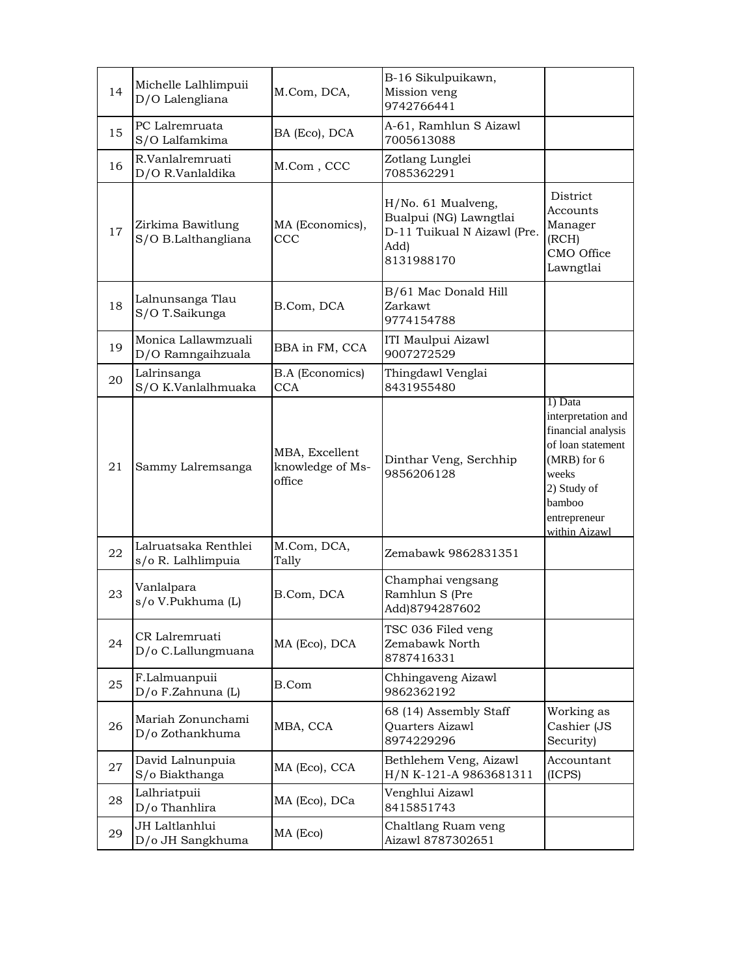| 14 | Michelle Lalhlimpuii<br>D/O Lalengliana    | M.Com, DCA,                                  | B-16 Sikulpuikawn,<br>Mission veng<br>9742766441                                                  |                                                                                                                                                            |
|----|--------------------------------------------|----------------------------------------------|---------------------------------------------------------------------------------------------------|------------------------------------------------------------------------------------------------------------------------------------------------------------|
| 15 | PC Lalremruata<br>S/O Lalfamkima           | BA (Eco), DCA                                | A-61, Ramhlun S Aizawl<br>7005613088                                                              |                                                                                                                                                            |
| 16 | R.Vanlalremruati<br>D/O R.Vanlaldika       | M.Com, CCC                                   | Zotlang Lunglei<br>7085362291                                                                     |                                                                                                                                                            |
| 17 | Zirkima Bawitlung<br>S/O B.Lalthangliana   | MA (Economics),<br>ccc                       | H/No. 61 Mualveng,<br>Bualpui (NG) Lawngtlai<br>D-11 Tuikual N Aizawl (Pre.<br>Add)<br>8131988170 | District<br>Accounts<br>Manager<br>(RCH)<br>CMO Office<br>Lawngtlai                                                                                        |
| 18 | Lalnunsanga Tlau<br>S/O T.Saikunga         | B.Com, DCA                                   | B/61 Mac Donald Hill<br>Zarkawt<br>9774154788                                                     |                                                                                                                                                            |
| 19 | Monica Lallawmzuali<br>D/O Ramngaihzuala   | BBA in FM, CCA                               | ITI Maulpui Aizawl<br>9007272529                                                                  |                                                                                                                                                            |
| 20 | Lalrinsanga<br>S/O K.Vanlalhmuaka          | <b>B.A</b> (Economics)<br><b>CCA</b>         | Thingdawl Venglai<br>8431955480                                                                   |                                                                                                                                                            |
| 21 | Sammy Lalremsanga                          | MBA, Excellent<br>knowledge of Ms-<br>office | Dinthar Veng, Serchhip<br>9856206128                                                              | 1) Data<br>interpretation and<br>financial analysis<br>of loan statement<br>(MRB) for 6<br>weeks<br>2) Study of<br>bamboo<br>entrepreneur<br>within Aizawl |
| 22 | Lalruatsaka Renthlei<br>s/o R. Lalhlimpuia | M.Com, DCA,<br>Tally                         | Zemabawk 9862831351                                                                               |                                                                                                                                                            |
| 23 | Vanlalpara<br>s/o V.Pukhuma (L)            | B.Com, DCA                                   | Champhai vengsang<br>Ramhlun S (Pre<br>Add)8794287602                                             |                                                                                                                                                            |
| 24 | CR Lalremruati<br>D/o C.Lallungmuana       | MA (Eco), DCA                                | TSC 036 Filed veng<br>Zemabawk North<br>8787416331                                                |                                                                                                                                                            |
| 25 | F.Lalmuanpuii<br>D/o F.Zahnuna (L)         | B.Com                                        | Chhingaveng Aizawl<br>9862362192                                                                  |                                                                                                                                                            |
| 26 | Mariah Zonunchami<br>D/o Zothankhuma       | MBA, CCA                                     | 68 (14) Assembly Staff<br>Quarters Aizawl<br>8974229296                                           | Working as<br>Cashier (JS<br>Security)                                                                                                                     |
| 27 | David Lalnunpuia<br>S/o Biakthanga         | MA (Eco), CCA                                | Bethlehem Veng, Aizawl<br>H/N K-121-A 9863681311                                                  | Accountant<br>(ICPS)                                                                                                                                       |
| 28 | Lalhriatpuii<br>D/o Thanhlira              | MA (Eco), DCa                                | Venghlui Aizawl<br>8415851743                                                                     |                                                                                                                                                            |
| 29 | JH Laltlanhlui<br>D/o JH Sangkhuma         | MA (Eco)                                     | Chaltlang Ruam veng<br>Aizawl 8787302651                                                          |                                                                                                                                                            |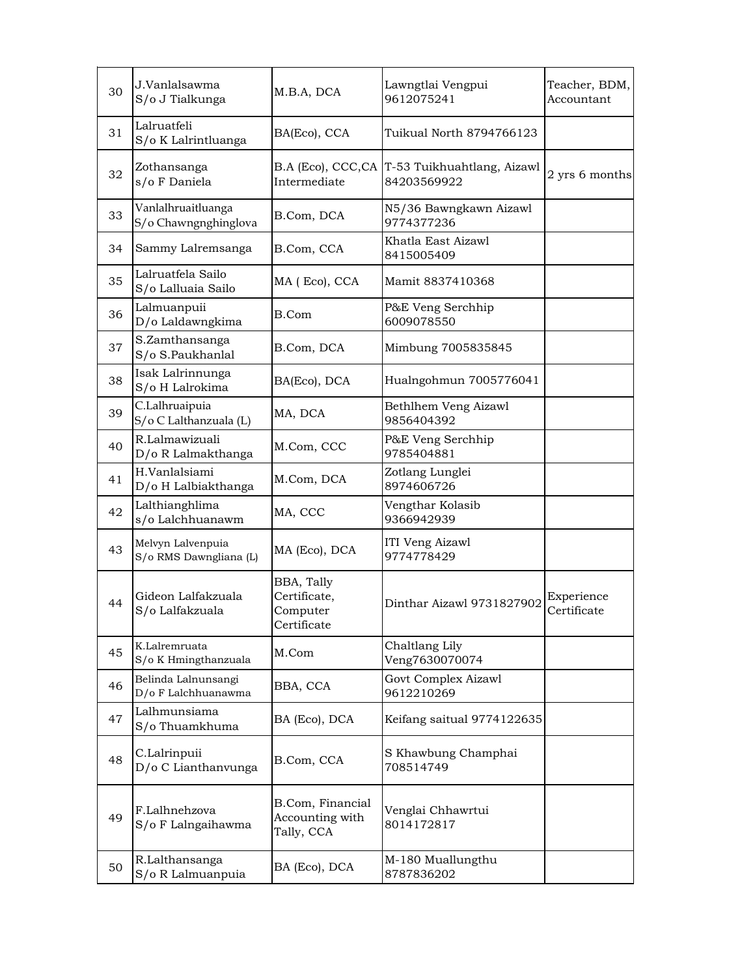| 30 | J.Vanlalsawma<br>S/o J Tialkunga            | M.B.A, DCA                                            | Lawngtlai Vengpui<br>9612075241                              | Teacher, BDM,<br>Accountant |
|----|---------------------------------------------|-------------------------------------------------------|--------------------------------------------------------------|-----------------------------|
| 31 | Lalruatfeli<br>S/o K Lalrintluanga          | BA(Eco), CCA                                          | Tuikual North 8794766123                                     |                             |
| 32 | Zothansanga<br>s/o F Daniela                | Intermediate                                          | B.A (Eco), CCC, CA T-53 Tuikhuahtlang, Aizawl<br>84203569922 | 2 yrs 6 months              |
| 33 | Vanlalhruaitluanga<br>S/o Chawngnghinglova  | B.Com, DCA                                            | N5/36 Bawngkawn Aizawl<br>9774377236                         |                             |
| 34 | Sammy Lalremsanga                           | B.Com, CCA                                            | Khatla East Aizawl<br>8415005409                             |                             |
| 35 | Lalruatfela Sailo<br>S/o Lalluaia Sailo     | MA (Eco), CCA                                         | Mamit 8837410368                                             |                             |
| 36 | Lalmuanpuii<br>D/o Laldawngkima             | B.Com                                                 | P&E Veng Serchhip<br>6009078550                              |                             |
| 37 | S.Zamthansanga<br>S/o S.Paukhanlal          | B.Com, DCA                                            | Mimbung 7005835845                                           |                             |
| 38 | Isak Lalrinnunga<br>S/o H Lalrokima         | BA(Eco), DCA                                          | Hualngohmun 7005776041                                       |                             |
| 39 | C.Lalhruaipuia<br>S/o C Lalthanzuala (L)    | MA, DCA                                               | Bethlhem Veng Aizawl<br>9856404392                           |                             |
| 40 | R.Lalmawizuali<br>D/o R Lalmakthanga        | M.Com, CCC                                            | P&E Veng Serchhip<br>9785404881                              |                             |
| 41 | H.Vanlalsiami<br>D/o H Lalbiakthanga        | M.Com, DCA                                            | Zotlang Lunglei<br>8974606726                                |                             |
| 42 | Lalthianghlima<br>s/o Lalchhuanawm          | MA, CCC                                               | Vengthar Kolasib<br>9366942939                               |                             |
| 43 | Melvyn Lalvenpuia<br>S/o RMS Dawngliana (L) | MA (Eco), DCA                                         | ITI Veng Aizawl<br>9774778429                                |                             |
| 44 | Gideon Lalfakzuala<br>S/o Lalfakzuala       | BBA, Tally<br>Certificate,<br>Computer<br>Certificate | Dinthar Aizawl 9731827902                                    | Experience<br>Certificate   |
| 45 | K.Lalremruata<br>S/o K Hmingthanzuala       | M.Com                                                 | Chaltlang Lily<br>Veng7630070074                             |                             |
| 46 | Belinda Lalnunsangi<br>D/o F Lalchhuanawma  | BBA, CCA                                              | Govt Complex Aizawl<br>9612210269                            |                             |
| 47 | Lalhmunsiama<br>S/o Thuamkhuma              | BA (Eco), DCA                                         | Keifang saitual 9774122635                                   |                             |
| 48 | C.Lalrinpuii<br>D/o C Lianthanvunga         | B.Com, CCA                                            | S Khawbung Champhai<br>708514749                             |                             |
| 49 | F.Lalhnehzova<br>S/o F Lalngaihawma         | B.Com, Financial<br>Accounting with<br>Tally, CCA     | Venglai Chhawrtui<br>8014172817                              |                             |
| 50 | R.Lalthansanga<br>S/o R Lalmuanpuia         | BA (Eco), DCA                                         | M-180 Muallungthu<br>8787836202                              |                             |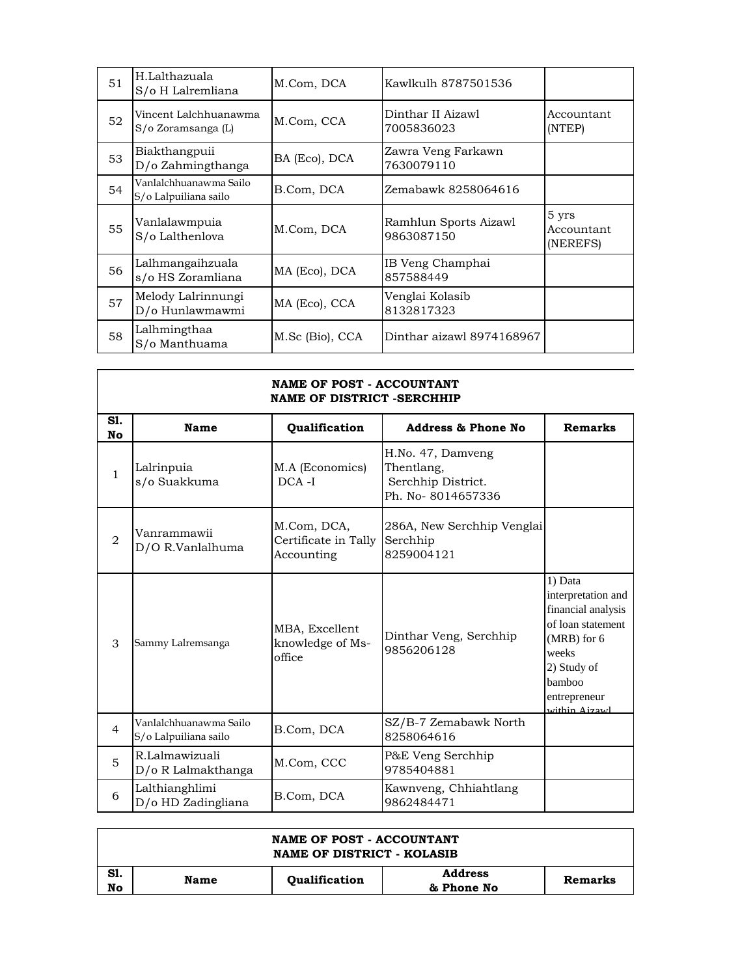| 51 | H.Lalthazuala<br>S/o H Lalremliana              | M.Com, DCA      | Kawlkulh 8787501536                 |                                 |
|----|-------------------------------------------------|-----------------|-------------------------------------|---------------------------------|
| 52 | Vincent Lalchhuanawma<br>S/o Zoramsanga (L)     | M.Com, CCA      | Dinthar II Aizawl<br>7005836023     | Accountant<br>(NTEP)            |
| 53 | Biakthangpuii<br>D/o Zahmingthanga              | BA (Eco), DCA   | Zawra Veng Farkawn<br>7630079110    |                                 |
| 54 | Vanlalchhuanawma Sailo<br>S/o Lalpuiliana sailo | B.Com, DCA      | Zemabawk 8258064616                 |                                 |
| 55 | Vanlalawmpuia<br>S/o Lalthenlova                | M.Com, DCA      | Ramhlun Sports Aizawl<br>9863087150 | 5 yrs<br>Accountant<br>(NEREFS) |
| 56 | Lalhmangaihzuala<br>s/o HS Zoramliana           | MA (Eco), DCA   | IB Veng Champhai<br>857588449       |                                 |
| 57 | Melody Lalrinnungi<br>D/o Hunlawmawmi           | MA (Eco), CCA   | Venglai Kolasib<br>8132817323       |                                 |
| 58 | Lalhmingthaa<br>S/o Manthuama                   | M.Sc (Bio), CCA | Dinthar aizawl 8974168967           |                                 |

|                | <b>NAME OF POST - ACCOUNTANT</b><br><b>NAME OF DISTRICT -SERCHHIP</b> |                                                   |                                                                            |                                                                                                                                                              |  |
|----------------|-----------------------------------------------------------------------|---------------------------------------------------|----------------------------------------------------------------------------|--------------------------------------------------------------------------------------------------------------------------------------------------------------|--|
| S1.<br>No      | Name                                                                  | Qualification                                     | <b>Address &amp; Phone No</b>                                              | <b>Remarks</b>                                                                                                                                               |  |
| $\mathbf{1}$   | Lalrinpuia<br>s/o Suakkuma                                            | M.A (Economics)<br>$DCA -I$                       | H.No. 47, Damveng<br>Thentlang,<br>Serchhip District.<br>Ph. No-8014657336 |                                                                                                                                                              |  |
| $\overline{a}$ | Vanrammawii<br>D/O R.Vanlalhuma                                       | M.Com, DCA,<br>Certificate in Tally<br>Accounting | 286A, New Serchhip Venglai<br>Serchhip<br>8259004121                       |                                                                                                                                                              |  |
| 3              | Sammy Lalremsanga                                                     | MBA, Excellent<br>knowledge of Ms-<br>office      | Dinthar Veng, Serchhip<br>9856206128                                       | 1) Data<br>interpretation and<br>financial analysis<br>of loan statement<br>$(MRB)$ for 6<br>weeks<br>2) Study of<br>bamboo<br>entrepreneur<br>within Aizawl |  |
| $\overline{4}$ | Vanlalchhuanawma Sailo<br>S/o Lalpuiliana sailo                       | B.Com, DCA                                        | SZ/B-7 Zemabawk North<br>8258064616                                        |                                                                                                                                                              |  |
| 5              | R.Lalmawizuali<br>D/o R Lalmakthanga                                  | M.Com, CCC                                        | P&E Veng Serchhip<br>9785404881                                            |                                                                                                                                                              |  |
| 6              | Lalthianghlimi<br>D/o HD Zadingliana                                  | B.Com, DCA                                        | Kawnveng, Chhiahtlang<br>9862484471                                        |                                                                                                                                                              |  |

| NAME OF POST - ACCOUNTANT<br>NAME OF DISTRICT - KOLASIB |      |                      |                              |         |  |
|---------------------------------------------------------|------|----------------------|------------------------------|---------|--|
| S1.<br>No                                               | Name | <b>Oualification</b> | <b>Address</b><br>& Phone No | Remarks |  |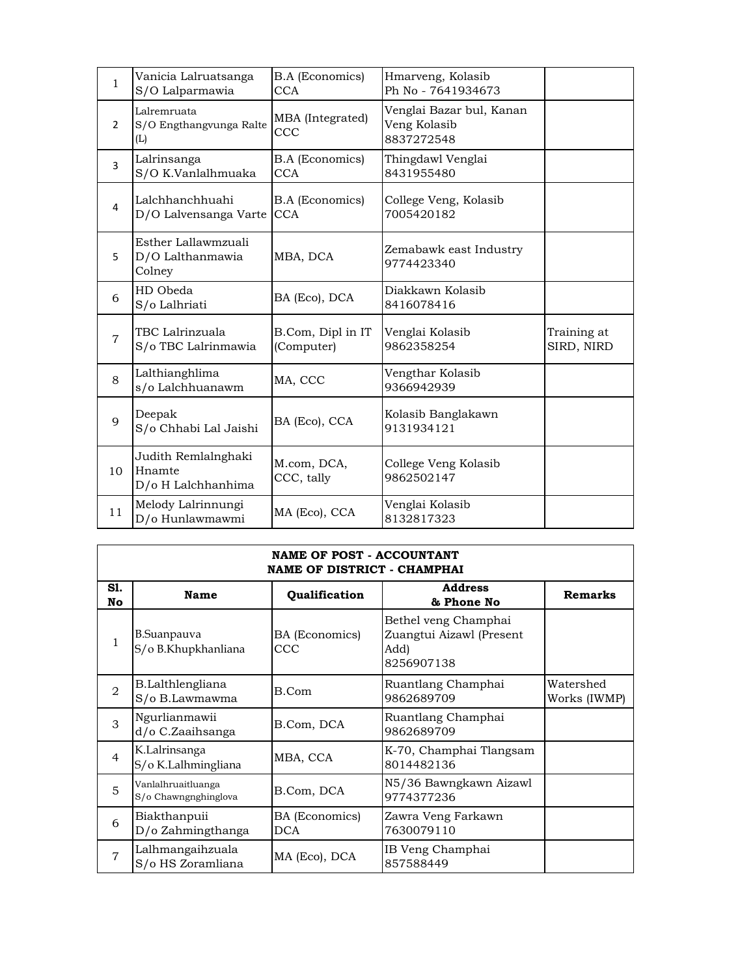| $\mathbf{1}$   | Vanicia Lalruatsanga<br>S/O Lalparmawia             | <b>B.A</b> (Economics)<br><b>CCA</b> | Hmarveng, Kolasib<br>Ph No - 7641934673                |                           |
|----------------|-----------------------------------------------------|--------------------------------------|--------------------------------------------------------|---------------------------|
| $\overline{2}$ | Lalremruata<br>S/O Engthangvunga Ralte<br>(L)       | MBA (Integrated)<br>ccc              | Venglai Bazar bul, Kanan<br>Veng Kolasib<br>8837272548 |                           |
| 3              | Lalrinsanga<br>S/O K.Vanlalhmuaka                   | <b>B.A</b> (Economics)<br><b>CCA</b> | Thingdawl Venglai<br>8431955480                        |                           |
| $\overline{4}$ | Lalchhanchhuahi<br>D/O Lalvensanga Varte            | <b>B.A</b> (Economics)<br><b>CCA</b> | College Veng, Kolasib<br>7005420182                    |                           |
| 5              | Esther Lallawmzuali<br>D/O Lalthanmawia<br>Colney   | MBA, DCA                             | Zemabawk east Industry<br>9774423340                   |                           |
| 6              | HD Obeda<br>S/o Lalhriati                           | BA (Eco), DCA                        | Diakkawn Kolasib<br>8416078416                         |                           |
| $\overline{7}$ | TBC Lalrinzuala<br>S/o TBC Lalrinmawia              | B.Com, Dipl in IT<br>(Computer)      | Venglai Kolasib<br>9862358254                          | Training at<br>SIRD, NIRD |
| 8              | Lalthianghlima<br>s/o Lalchhuanawm                  | MA, CCC                              | Vengthar Kolasib<br>9366942939                         |                           |
| 9              | Deepak<br>S/o Chhabi Lal Jaishi                     | BA (Eco), CCA                        | Kolasib Banglakawn<br>9131934121                       |                           |
| 10             | Judith Remlalnghaki<br>Hnamte<br>D/o H Lalchhanhima | M.com, DCA,<br>CCC, tally            | College Veng Kolasib<br>9862502147                     |                           |
| 11             | Melody Lalrinnungi<br>D/o Hunlawmawmi               | MA (Eco), CCA                        | Venglai Kolasib<br>8132817323                          |                           |

|                             | <b>NAME OF POST - ACCOUNTANT</b><br><b>NAME OF DISTRICT - CHAMPHAI</b> |                              |                                                                        |                           |  |
|-----------------------------|------------------------------------------------------------------------|------------------------------|------------------------------------------------------------------------|---------------------------|--|
| S1.<br>No                   | Name                                                                   | Qualification                | <b>Address</b><br>& Phone No                                           | <b>Remarks</b>            |  |
| 1                           | <b>B.Suanpauva</b><br>S/o B.Khupkhanliana                              | BA (Economics)<br>ccc        | Bethel veng Champhai<br>Zuangtui Aizawl (Present<br>Add)<br>8256907138 |                           |  |
| $\mathcal{D}_{\mathcal{L}}$ | B.Lalthlengliana<br>S/o B.Lawmawma                                     | B.Com                        | Ruantlang Champhai<br>9862689709                                       | Watershed<br>Works (IWMP) |  |
| 3                           | Ngurlianmawii<br>d/o C.Zaaihsanga                                      | B.Com, DCA                   | Ruantlang Champhai<br>9862689709                                       |                           |  |
| $\overline{4}$              | K.Lalrinsanga<br>S/o K.Lalhmingliana                                   | MBA, CCA                     | K-70, Champhai Tlangsam<br>8014482136                                  |                           |  |
| 5                           | Vanlalhruaitluanga<br>S/o Chawngnghinglova                             | B.Com, DCA                   | N5/36 Bawngkawn Aizawl<br>9774377236                                   |                           |  |
| 6                           | Biakthanpuii<br>D/o Zahmingthanga                                      | BA (Economics)<br><b>DCA</b> | Zawra Veng Farkawn<br>7630079110                                       |                           |  |
| 7                           | Lalhmangaihzuala<br>S/o HS Zoramliana                                  | MA (Eco), DCA                | IB Veng Champhai<br>857588449                                          |                           |  |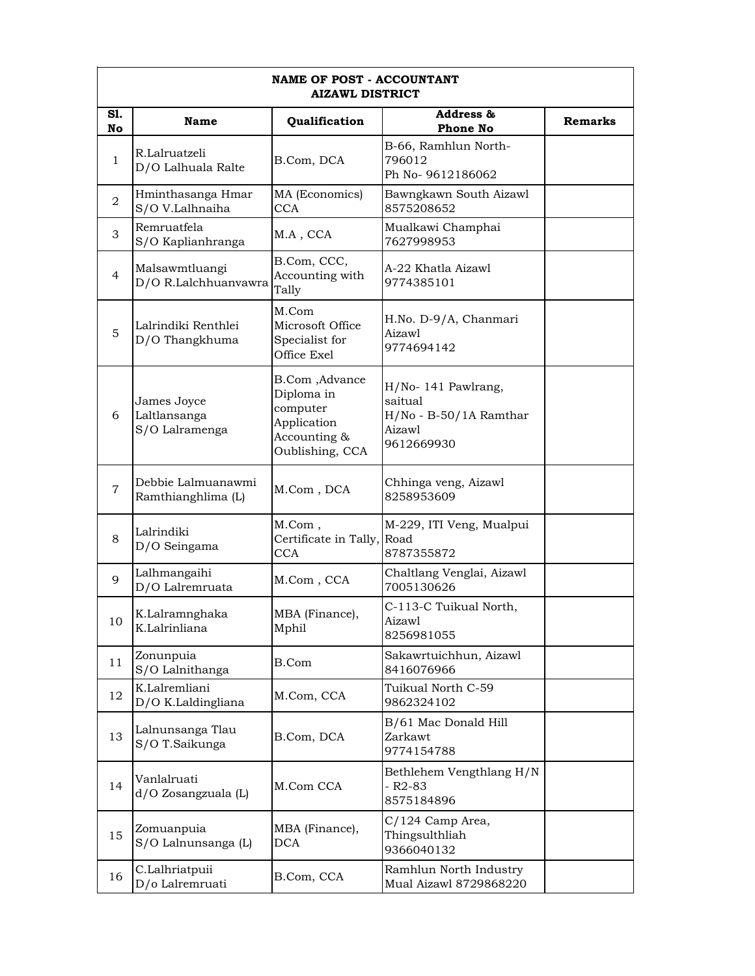|                | <b>NAME OF POST - ACCOUNTANT</b><br><b>AIZAWL DISTRICT</b> |                                                                                            |                                                                                 |                |  |
|----------------|------------------------------------------------------------|--------------------------------------------------------------------------------------------|---------------------------------------------------------------------------------|----------------|--|
| S1.<br>No      | <b>Name</b>                                                | Qualification                                                                              | Address &<br><b>Phone No</b>                                                    | <b>Remarks</b> |  |
| $\mathbf{1}$   | R.Lalruatzeli<br>D/O Lalhuala Ralte                        | B.Com, DCA                                                                                 | B-66, Ramhlun North-<br>796012<br>Ph No-9612186062                              |                |  |
| 2              | Hminthasanga Hmar<br>S/O V.Lalhnaiha                       | MA (Economics)<br><b>CCA</b>                                                               | Bawngkawn South Aizawl<br>8575208652                                            |                |  |
| 3              | Remruatfela<br>S/O Kaplianhranga                           | M.A, CCA                                                                                   | Mualkawi Champhai<br>7627998953                                                 |                |  |
| 4              | Malsawmtluangi<br>D/O R.Lalchhuanvawra                     | B.Com, CCC,<br>Accounting with<br>Tally                                                    | A-22 Khatla Aizawl<br>9774385101                                                |                |  |
| 5              | Lalrindiki Renthlei<br>D/O Thangkhuma                      | M.Com<br>Microsoft Office<br>Specialist for<br>Office Exel                                 | H.No. D-9/A, Chanmari<br>Aizawl<br>9774694142                                   |                |  |
| 6              | James Joyce<br>Laltlansanga<br>S/O Lalramenga              | B.Com, Advance<br>Diploma in<br>computer<br>Application<br>Accounting &<br>Oublishing, CCA | H/No-141 Pawlrang,<br>saitual<br>H/No - B-50/1A Ramthar<br>Aizawl<br>9612669930 |                |  |
| $\overline{7}$ | Debbie Lalmuanawmi<br>Ramthianghlima (L)                   | M.Com, DCA                                                                                 | Chhinga veng, Aizawl<br>8258953609                                              |                |  |
| 8              | Lalrindiki<br>D/O Seingama                                 | M.Com,<br>Certificate in Tally, Road<br>CCA                                                | M-229, ITI Veng, Mualpui<br>8787355872                                          |                |  |
| 9              | Lalhmangaihi<br>D/O Lalremruata                            | M.Com, CCA                                                                                 | Chaltlang Venglai, Aizawl<br>7005130626                                         |                |  |
| 10             | K.Lalramnghaka<br>K.Lalrinliana                            | MBA (Finance),<br>Mphil                                                                    | C-113-C Tuikual North,<br>Aizawl<br>8256981055                                  |                |  |
| 11             | Zonunpuia<br>S/O Lalnithanga                               | B.Com                                                                                      | Sakawrtuichhun, Aizawl<br>8416076966                                            |                |  |
| 12             | K.Lalremliani<br>D/O K.Laldingliana                        | M.Com, CCA                                                                                 | Tuikual North C-59<br>9862324102                                                |                |  |
| 13             | Lalnunsanga Tlau<br>S/O T.Saikunga                         | B.Com, DCA                                                                                 | B/61 Mac Donald Hill<br>Zarkawt<br>9774154788                                   |                |  |
| 14             | Vanlalruati<br>d/O Zosangzuala (L)                         | M.Com CCA                                                                                  | Bethlehem Vengthlang H/N<br>$-R2-83$<br>8575184896                              |                |  |
| 15             | Zomuanpuia<br>S/O Lalnunsanga (L)                          | MBA (Finance),<br><b>DCA</b>                                                               | C/124 Camp Area,<br>Thingsulthliah<br>9366040132                                |                |  |
| 16             | C.Lalhriatpuii<br>D/o Lalremruati                          | B.Com, CCA                                                                                 | Ramhlun North Industry<br>Mual Aizawl 8729868220                                |                |  |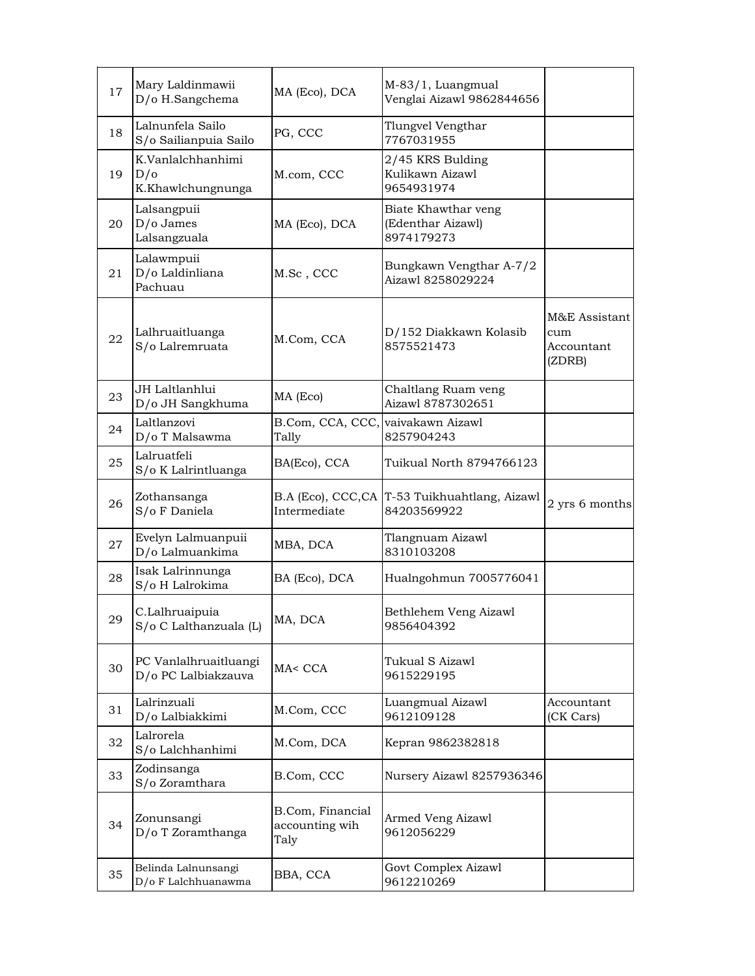| 17 | Mary Laldinmawii<br>D/o H.Sangchema           | MA (Eco), DCA                              | M-83/1, Luangmual<br>Venglai Aizawl 9862844656              |                                              |
|----|-----------------------------------------------|--------------------------------------------|-------------------------------------------------------------|----------------------------------------------|
| 18 | Lalnunfela Sailo<br>S/o Sailianpuia Sailo     | PG, CCC                                    | Tlungvel Vengthar<br>7767031955                             |                                              |
| 19 | K.Vanlalchhanhimi<br>D/O<br>K.Khawlchungnunga | M.com, CCC                                 | 2/45 KRS Bulding<br>Kulikawn Aizawl<br>9654931974           |                                              |
| 20 | Lalsangpuii<br>D/o James<br>Lalsangzuala      | MA (Eco), DCA                              | Biate Khawthar veng<br>(Edenthar Aizawl)<br>8974179273      |                                              |
| 21 | Lalawmpuii<br>D/o Laldinliana<br>Pachuau      | M.Sc, CCC                                  | Bungkawn Vengthar A-7/2<br>Aizawl 8258029224                |                                              |
| 22 | Lalhruaitluanga<br>S/o Lalremruata            | M.Com, CCA                                 | D/152 Diakkawn Kolasib<br>8575521473                        | M&E Assistant<br>cum<br>Accountant<br>(ZDRB) |
| 23 | JH Laltlanhlui<br>D/o JH Sangkhuma            | MA (Eco)                                   | Chaltlang Ruam veng<br>Aizawl 8787302651                    |                                              |
| 24 | Laltlanzovi<br>D/o T Malsawma                 | B.Com, CCA, CCC, vaivakawn Aizawl<br>Tally | 8257904243                                                  |                                              |
| 25 | Lalruatfeli<br>S/o K Lalrintluanga            | BA(Eco), CCA                               | Tuikual North 8794766123                                    |                                              |
| 26 | Zothansanga<br>S/o F Daniela                  | Intermediate                               | B.A (Eco), CCC,CA T-53 Tuikhuahtlang, Aizawl<br>84203569922 | 2 yrs 6 months                               |
| 27 | Evelyn Lalmuanpuii<br>D/o Lalmuankima         | MBA, DCA                                   | Tlangnuam Aizawl<br>8310103208                              |                                              |
| 28 | Isak Lalrinnunga<br>S/o H Lalrokima           | BA (Eco), DCA                              | Hualngohmun 7005776041                                      |                                              |
| 29 | C.Lalhruaipuia<br>S/o C Lalthanzuala (L)      | MA, DCA                                    | Bethlehem Veng Aizawl<br>9856404392                         |                                              |
| 30 | PC Vanlalhruaitluangi<br>D/o PC Lalbiakzauva  | MA< CCA                                    | Tukual S Aizawl<br>9615229195                               |                                              |
| 31 | Lalrinzuali<br>D/o Lalbiakkimi                | M.Com, CCC                                 | Luangmual Aizawl<br>9612109128                              | Accountant<br>(CK Cars)                      |
| 32 | Lalrorela<br>S/o Lalchhanhimi                 | M.Com, DCA                                 | Kepran 9862382818                                           |                                              |
| 33 | Zodinsanga<br>S/o Zoramthara                  | B.Com, CCC                                 | Nursery Aizawl 8257936346                                   |                                              |
| 34 | Zonunsangi<br>D/o T Zoramthanga               | B.Com, Financial<br>accounting wih<br>Taly | Armed Veng Aizawl<br>9612056229                             |                                              |
| 35 | Belinda Lalnunsangi<br>D/o F Lalchhuanawma    | BBA, CCA                                   | Govt Complex Aizawl<br>9612210269                           |                                              |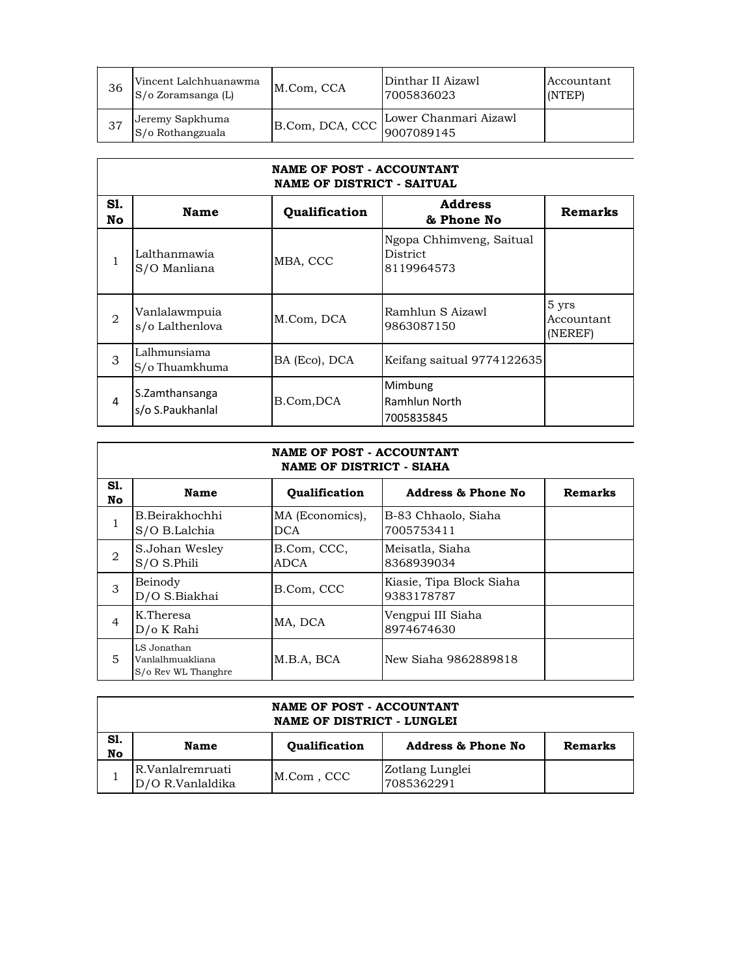| 36 | Vincent Lalchhuanawma<br>S/o Zoramsanga (L) | M.Com, CCA | Dinthar II Aizawl<br>7005836023       | Accountant<br>(NTEP) |
|----|---------------------------------------------|------------|---------------------------------------|----------------------|
| 37 | Jeremy Sapkhuma<br>S/o Rothangzuala         |            | B.Com, DCA, CCC Lower Chanmari Aizawl |                      |

| <b>NAME OF POST - ACCOUNTANT</b><br><b>NAME OF DISTRICT - SAITUAL</b> |                                    |               |                                                           |                                |  |
|-----------------------------------------------------------------------|------------------------------------|---------------|-----------------------------------------------------------|--------------------------------|--|
| S1.<br>No                                                             | Name                               | Qualification | <b>Address</b><br>& Phone No                              | Remarks                        |  |
|                                                                       | Lalthanmawia<br>S/O Manliana       | MBA, CCC      | Ngopa Chhimveng, Saitual<br><b>District</b><br>8119964573 |                                |  |
| $\overline{2}$                                                        | Vanlalawmpuia<br>s/o Lalthenlova   | M.Com, DCA    | Ramhlun S Aizawl<br>9863087150                            | 5 yrs<br>Accountant<br>(NEREF) |  |
| 3                                                                     | Lalhmunsiama<br>S/o Thuamkhuma     | BA (Eco), DCA | Keifang saitual 9774122635                                |                                |  |
| $\overline{a}$                                                        | S.Zamthansanga<br>s/o S.Paukhanlal | B.Com, DCA    | Mimbung<br>Ramhlun North<br>7005835845                    |                                |  |

## **NAME OF POST - ACCOUNTANT NAME OF DISTRICT - SIAHA**

| S1.<br>No      | Name                                                   | Qualification                 | <b>Address &amp; Phone No</b>          | <b>Remarks</b> |
|----------------|--------------------------------------------------------|-------------------------------|----------------------------------------|----------------|
| 1              | B.Beirakhochhi<br>S/O B.Lalchia                        | MA (Economics),<br><b>DCA</b> | B-83 Chhaolo, Siaha<br>7005753411      |                |
| 2              | S.Johan Wesley<br>S/O S.Phili                          | B.Com, CCC,<br>ADCA           | Meisatla, Siaha<br>8368939034          |                |
| 3              | Beinody<br>D/O S.Biakhai                               | B.Com, CCC                    | Kiasie, Tipa Block Siaha<br>9383178787 |                |
| $\overline{4}$ | K.Theresa<br>D/o K Rahi                                | MA, DCA                       | Vengpui III Siaha<br>8974674630        |                |
| 5              | LS Jonathan<br>Vanlalhmuakliana<br>S/o Rev WL Thanghre | M.B.A. BCA                    | New Siaha 9862889818                   |                |

| NAME OF POST - ACCOUNTANT<br>NAME OF DISTRICT - LUNGLEI |                                      |                      |                               |                |  |
|---------------------------------------------------------|--------------------------------------|----------------------|-------------------------------|----------------|--|
| S1.<br>No                                               | Name                                 | <b>Oualification</b> | <b>Address &amp; Phone No</b> | <b>Remarks</b> |  |
|                                                         | R.Vanlalremruati<br>D/O R.Vanlaldika | M.Com, CCC           | Zotlang Lunglei<br>7085362291 |                |  |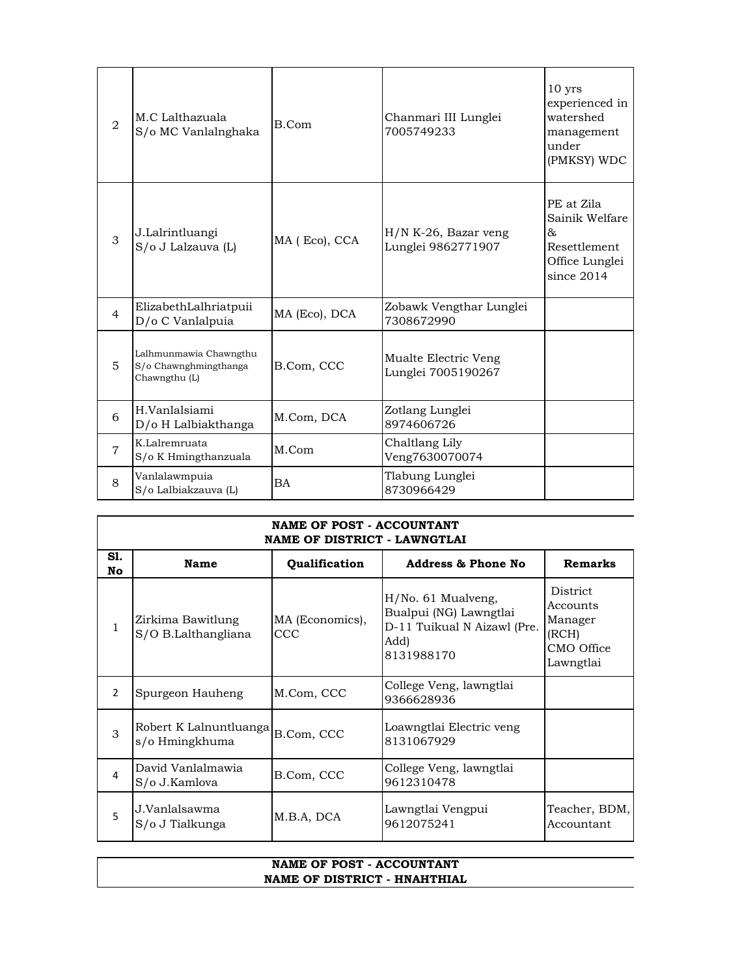| $\mathcal{D}_{\mathcal{L}}$ | M.C Lalthazuala<br>S/o MC Vanlalnghaka                           | B.Com         | Chanmari III Lunglei<br>7005749233           | $10$ yrs<br>experienced in<br>watershed<br>management<br>under<br>(PMKSY) WDC     |
|-----------------------------|------------------------------------------------------------------|---------------|----------------------------------------------|-----------------------------------------------------------------------------------|
| 3                           | J.Lalrintluangi<br>S/o J Lalzauva (L)                            | MA (Eco), CCA | $H/N$ K-26, Bazar veng<br>Lunglei 9862771907 | PE at Zila<br>Sainik Welfare<br>&<br>Resettlement<br>Office Lunglei<br>since 2014 |
| $\overline{4}$              | ElizabethLalhriatpuii<br>D/o C Vanlalpuia                        | MA (Eco), DCA | Zobawk Vengthar Lunglei<br>7308672990        |                                                                                   |
| 5                           | Lalhmunmawia Chawngthu<br>S/o Chawnghmingthanga<br>Chawngthu (L) | B.Com, CCC    | Mualte Electric Veng<br>Lunglei 7005190267   |                                                                                   |
| 6                           | H.Vanlalsiami<br>D/o H Lalbiakthanga                             | M.Com, DCA    | Zotlang Lunglei<br>8974606726                |                                                                                   |
| $\overline{7}$              | K.Lalremruata<br>S/o K Hmingthanzuala                            | M.Com         | Chaltlang Lily<br>Veng7630070074             |                                                                                   |
| 8                           | Vanlalawmpuia<br>S/o Lalbiakzauva (L)                            | BA            | Tlabung Lunglei<br>8730966429                |                                                                                   |

| NAME OF POST - ACCOUNTANT<br>NAME OF DISTRICT - LAWNGTLAI |                                          |                               |                                                                                                     |                                                                            |  |
|-----------------------------------------------------------|------------------------------------------|-------------------------------|-----------------------------------------------------------------------------------------------------|----------------------------------------------------------------------------|--|
| S1.<br>No                                                 | Name                                     | Qualification                 | <b>Address &amp; Phone No</b>                                                                       | <b>Remarks</b>                                                             |  |
| 1                                                         | Zirkima Bawitlung<br>S/O B.Lalthangliana | MA (Economics),<br><b>CCC</b> | $H/No. 61$ Mualveng,<br>Bualpui (NG) Lawngtlai<br>D-11 Tuikual N Aizawl (Pre.<br>Add)<br>8131988170 | <b>District</b><br>Accounts<br>Manager<br>(RCH)<br>CMO Office<br>Lawngtlai |  |
| $\mathcal{P}$                                             | Spurgeon Hauheng                         | M.Com, CCC                    | College Veng, lawngtlai<br>9366628936                                                               |                                                                            |  |
| 3                                                         | Robert K Lalnuntluanga<br>s/o Hmingkhuma | B.Com, CCC                    | Loawngtlai Electric veng<br>8131067929                                                              |                                                                            |  |
| 4                                                         | David Vanlalmawia<br>S/o J.Kamlova       | B.Com, CCC                    | College Veng, lawngtlai<br>9612310478                                                               |                                                                            |  |
| 5                                                         | J.Vanlalsawma<br>S/o J Tialkunga         | M.B.A, DCA                    | Lawngtlai Vengpui<br>9612075241                                                                     | Teacher, BDM,<br>Accountant                                                |  |

| NAME OF POST - ACCOUNTANT    |  |
|------------------------------|--|
| NAME OF DISTRICT - HNAHTHIAL |  |